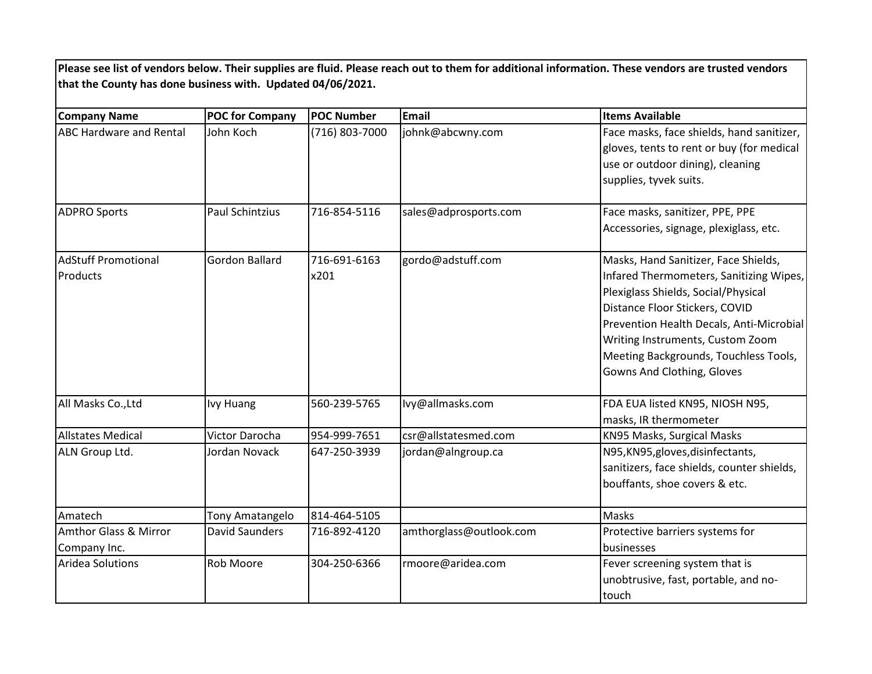**Please see list of vendors below. Their supplies are fluid. Please reach out to them for additional information. These vendors are trusted vendors that the County has done business with. Updated 04/06/2021.**

| <b>Company Name</b>                              | <b>POC for Company</b> | <b>POC Number</b>    | <b>Email</b>            | <b>Items Available</b>                                                                                                                                                                                                                                                                                          |
|--------------------------------------------------|------------------------|----------------------|-------------------------|-----------------------------------------------------------------------------------------------------------------------------------------------------------------------------------------------------------------------------------------------------------------------------------------------------------------|
| <b>ABC Hardware and Rental</b>                   | John Koch              | (716) 803-7000       | johnk@abcwny.com        | Face masks, face shields, hand sanitizer,<br>gloves, tents to rent or buy (for medical<br>use or outdoor dining), cleaning<br>supplies, tyvek suits.                                                                                                                                                            |
| <b>ADPRO Sports</b>                              | <b>Paul Schintzius</b> | 716-854-5116         | sales@adprosports.com   | Face masks, sanitizer, PPE, PPE<br>Accessories, signage, plexiglass, etc.                                                                                                                                                                                                                                       |
| <b>AdStuff Promotional</b><br>Products           | Gordon Ballard         | 716-691-6163<br>x201 | gordo@adstuff.com       | Masks, Hand Sanitizer, Face Shields,<br>Infared Thermometers, Sanitizing Wipes,<br>Plexiglass Shields, Social/Physical<br>Distance Floor Stickers, COVID<br>Prevention Health Decals, Anti-Microbial<br>Writing Instruments, Custom Zoom<br>Meeting Backgrounds, Touchless Tools,<br>Gowns And Clothing, Gloves |
| All Masks Co., Ltd                               | <b>Ivy Huang</b>       | 560-239-5765         | lvy@allmasks.com        | FDA EUA listed KN95, NIOSH N95,<br>masks, IR thermometer                                                                                                                                                                                                                                                        |
| <b>Allstates Medical</b>                         | Victor Darocha         | 954-999-7651         | csr@allstatesmed.com    | KN95 Masks, Surgical Masks                                                                                                                                                                                                                                                                                      |
| ALN Group Ltd.                                   | Jordan Novack          | 647-250-3939         | jordan@alngroup.ca      | N95, KN95, gloves, disinfectants,<br>sanitizers, face shields, counter shields,<br>bouffants, shoe covers & etc.                                                                                                                                                                                                |
| Amatech                                          | Tony Amatangelo        | 814-464-5105         |                         | Masks                                                                                                                                                                                                                                                                                                           |
| <b>Amthor Glass &amp; Mirror</b><br>Company Inc. | <b>David Saunders</b>  | 716-892-4120         | amthorglass@outlook.com | Protective barriers systems for<br>businesses                                                                                                                                                                                                                                                                   |
| Aridea Solutions                                 | Rob Moore              | 304-250-6366         | rmoore@aridea.com       | Fever screening system that is<br>unobtrusive, fast, portable, and no-<br>touch                                                                                                                                                                                                                                 |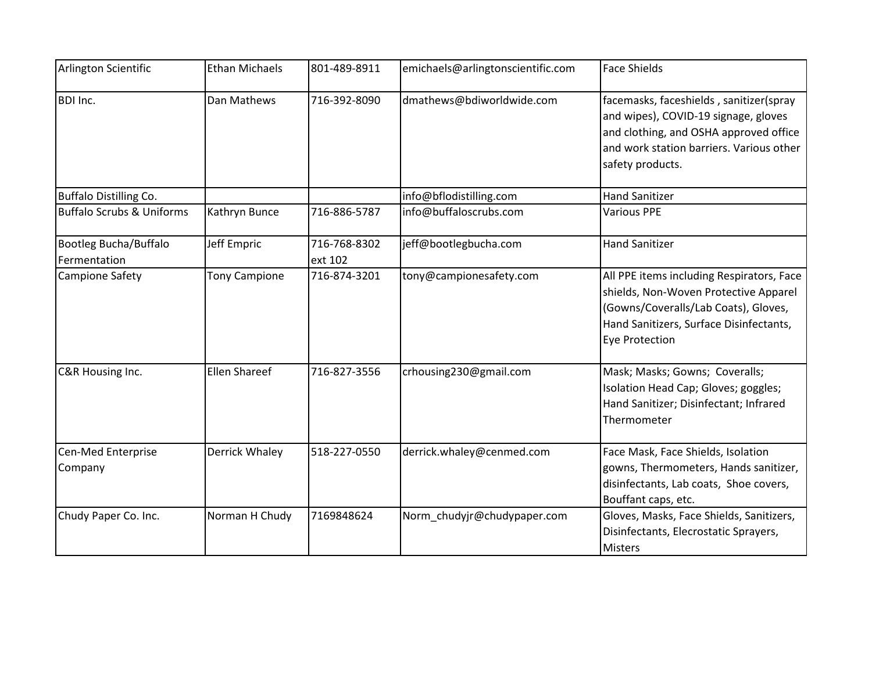| Arlington Scientific                  | <b>Ethan Michaels</b> | 801-489-8911            | emichaels@arlingtonscientific.com | <b>Face Shields</b>                                                                                                                                                                            |
|---------------------------------------|-----------------------|-------------------------|-----------------------------------|------------------------------------------------------------------------------------------------------------------------------------------------------------------------------------------------|
| <b>BDI Inc.</b>                       | Dan Mathews           | 716-392-8090            | dmathews@bdiworldwide.com         | facemasks, faceshields, sanitizer(spray<br>and wipes), COVID-19 signage, gloves<br>and clothing, and OSHA approved office<br>and work station barriers. Various other<br>safety products.      |
| <b>Buffalo Distilling Co.</b>         |                       |                         | info@bflodistilling.com           | <b>Hand Sanitizer</b>                                                                                                                                                                          |
| <b>Buffalo Scrubs &amp; Uniforms</b>  | Kathryn Bunce         | 716-886-5787            | info@buffaloscrubs.com            | <b>Various PPE</b>                                                                                                                                                                             |
| Bootleg Bucha/Buffalo<br>Fermentation | Jeff Empric           | 716-768-8302<br>ext 102 | jeff@bootlegbucha.com             | <b>Hand Sanitizer</b>                                                                                                                                                                          |
| Campione Safety                       | <b>Tony Campione</b>  | 716-874-3201            | tony@campionesafety.com           | All PPE items including Respirators, Face<br>shields, Non-Woven Protective Apparel<br>(Gowns/Coveralls/Lab Coats), Gloves,<br>Hand Sanitizers, Surface Disinfectants,<br><b>Eye Protection</b> |
| C&R Housing Inc.                      | Ellen Shareef         | 716-827-3556            | crhousing230@gmail.com            | Mask; Masks; Gowns; Coveralls;<br>Isolation Head Cap; Gloves; goggles;<br>Hand Sanitizer; Disinfectant; Infrared<br>Thermometer                                                                |
| Cen-Med Enterprise<br>Company         | Derrick Whaley        | 518-227-0550            | derrick.whaley@cenmed.com         | Face Mask, Face Shields, Isolation<br>gowns, Thermometers, Hands sanitizer,<br>disinfectants, Lab coats, Shoe covers,<br>Bouffant caps, etc.                                                   |
| Chudy Paper Co. Inc.                  | Norman H Chudy        | 7169848624              | Norm_chudyjr@chudypaper.com       | Gloves, Masks, Face Shields, Sanitizers,<br>Disinfectants, Elecrostatic Sprayers,<br><b>Misters</b>                                                                                            |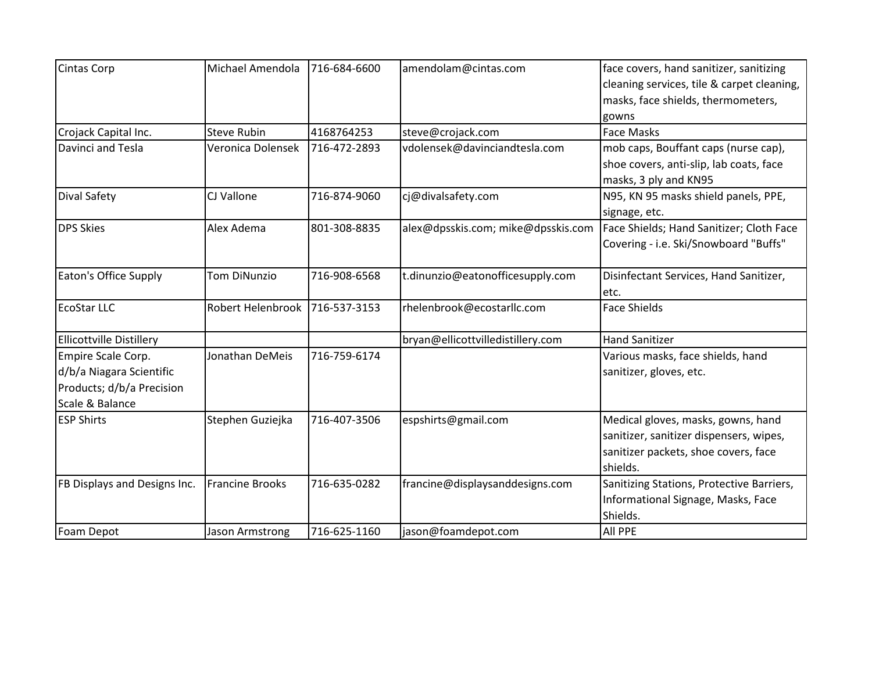| <b>Cintas Corp</b>                                                                             | Michael Amendola       | 716-684-6600 | amendolam@cintas.com               | face covers, hand sanitizer, sanitizing<br>cleaning services, tile & carpet cleaning,<br>masks, face shields, thermometers,       |
|------------------------------------------------------------------------------------------------|------------------------|--------------|------------------------------------|-----------------------------------------------------------------------------------------------------------------------------------|
| Crojack Capital Inc.                                                                           | <b>Steve Rubin</b>     | 4168764253   | steve@crojack.com                  | gowns<br><b>Face Masks</b>                                                                                                        |
| Davinci and Tesla                                                                              | Veronica Dolensek      | 716-472-2893 | vdolensek@davinciandtesla.com      | mob caps, Bouffant caps (nurse cap),<br>shoe covers, anti-slip, lab coats, face<br>masks, 3 ply and KN95                          |
| Dival Safety                                                                                   | CJ Vallone             | 716-874-9060 | cj@divalsafety.com                 | N95, KN 95 masks shield panels, PPE,<br>signage, etc.                                                                             |
| <b>DPS Skies</b>                                                                               | Alex Adema             | 801-308-8835 | alex@dpsskis.com; mike@dpsskis.com | Face Shields; Hand Sanitizer; Cloth Face<br>Covering - i.e. Ski/Snowboard "Buffs"                                                 |
| Eaton's Office Supply                                                                          | Tom DiNunzio           | 716-908-6568 | t.dinunzio@eatonofficesupply.com   | Disinfectant Services, Hand Sanitizer,<br>etc.                                                                                    |
| <b>EcoStar LLC</b>                                                                             | Robert Helenbrook      | 716-537-3153 | rhelenbrook@ecostarllc.com         | <b>Face Shields</b>                                                                                                               |
| <b>Ellicottville Distillery</b>                                                                |                        |              | bryan@ellicottvilledistillery.com  | <b>Hand Sanitizer</b>                                                                                                             |
| Empire Scale Corp.<br>d/b/a Niagara Scientific<br>Products; d/b/a Precision<br>Scale & Balance | Jonathan DeMeis        | 716-759-6174 |                                    | Various masks, face shields, hand<br>sanitizer, gloves, etc.                                                                      |
| <b>ESP Shirts</b>                                                                              | Stephen Guziejka       | 716-407-3506 | espshirts@gmail.com                | Medical gloves, masks, gowns, hand<br>sanitizer, sanitizer dispensers, wipes,<br>sanitizer packets, shoe covers, face<br>shields. |
| FB Displays and Designs Inc.                                                                   | <b>Francine Brooks</b> | 716-635-0282 | francine@displaysanddesigns.com    | Sanitizing Stations, Protective Barriers,<br>Informational Signage, Masks, Face<br>Shields.                                       |
| Foam Depot                                                                                     | Jason Armstrong        | 716-625-1160 | jason@foamdepot.com                | <b>All PPE</b>                                                                                                                    |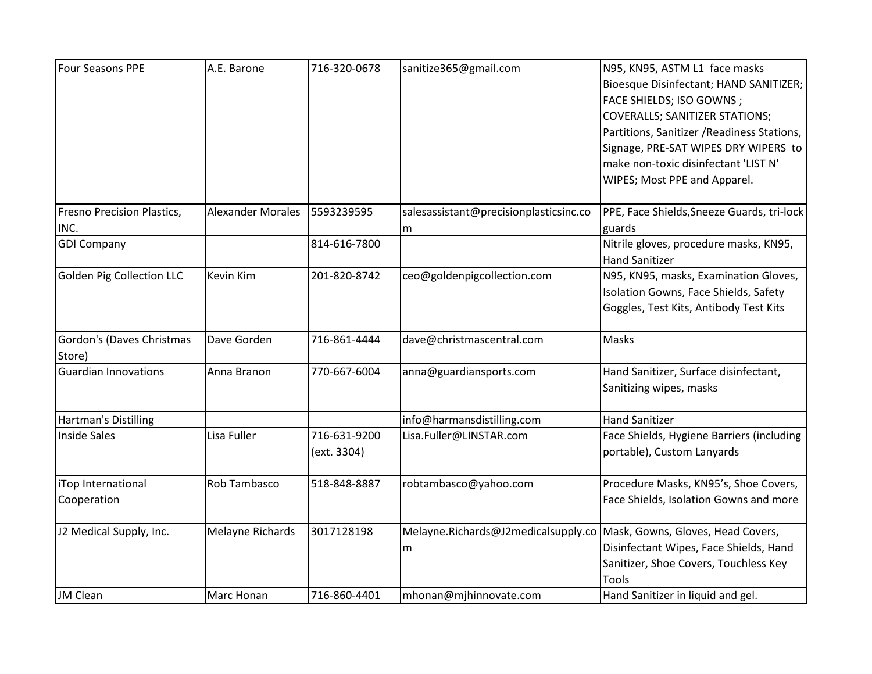| <b>Four Seasons PPE</b>             | A.E. Barone              | 716-320-0678                | sanitize365@gmail.com                    | N95, KN95, ASTM L1 face masks<br>Bioesque Disinfectant; HAND SANITIZER;<br>FACE SHIELDS; ISO GOWNS;<br><b>COVERALLS; SANITIZER STATIONS;</b>                |
|-------------------------------------|--------------------------|-----------------------------|------------------------------------------|-------------------------------------------------------------------------------------------------------------------------------------------------------------|
|                                     |                          |                             |                                          | Partitions, Sanitizer / Readiness Stations,<br>Signage, PRE-SAT WIPES DRY WIPERS to<br>make non-toxic disinfectant 'LIST N'<br>WIPES; Most PPE and Apparel. |
| Fresno Precision Plastics,<br>INC.  | <b>Alexander Morales</b> | 5593239595                  | salesassistant@precisionplasticsinc.co   | PPE, Face Shields, Sneeze Guards, tri-lock<br>guards                                                                                                        |
| <b>GDI Company</b>                  |                          | 814-616-7800                | m                                        | Nitrile gloves, procedure masks, KN95,<br><b>Hand Sanitizer</b>                                                                                             |
| <b>Golden Pig Collection LLC</b>    | Kevin Kim                | 201-820-8742                | ceo@goldenpigcollection.com              | N95, KN95, masks, Examination Gloves,<br>Isolation Gowns, Face Shields, Safety<br>Goggles, Test Kits, Antibody Test Kits                                    |
| Gordon's (Daves Christmas<br>Store) | Dave Gorden              | 716-861-4444                | dave@christmascentral.com                | Masks                                                                                                                                                       |
| <b>Guardian Innovations</b>         | Anna Branon              | 770-667-6004                | anna@guardiansports.com                  | Hand Sanitizer, Surface disinfectant,<br>Sanitizing wipes, masks                                                                                            |
| Hartman's Distilling                |                          |                             | info@harmansdistilling.com               | <b>Hand Sanitizer</b>                                                                                                                                       |
| <b>Inside Sales</b>                 | Lisa Fuller              | 716-631-9200<br>(ext. 3304) | Lisa.Fuller@LINSTAR.com                  | Face Shields, Hygiene Barriers (including<br>portable), Custom Lanyards                                                                                     |
| iTop International<br>Cooperation   | Rob Tambasco             | 518-848-8887                | robtambasco@yahoo.com                    | Procedure Masks, KN95's, Shoe Covers,<br>Face Shields, Isolation Gowns and more                                                                             |
| J2 Medical Supply, Inc.             | Melayne Richards         | 3017128198                  | Melayne.Richards@J2medicalsupply.co<br>m | Mask, Gowns, Gloves, Head Covers,<br>Disinfectant Wipes, Face Shields, Hand<br>Sanitizer, Shoe Covers, Touchless Key<br>Tools                               |
| <b>JM Clean</b>                     | Marc Honan               | 716-860-4401                | mhonan@mjhinnovate.com                   | Hand Sanitizer in liquid and gel.                                                                                                                           |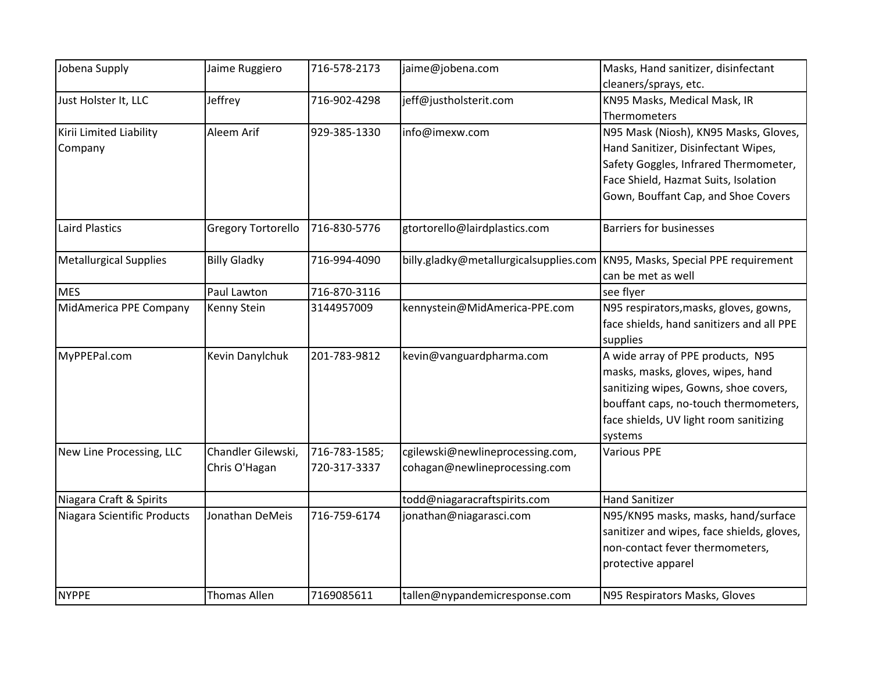| Jobena Supply                 | Jaime Ruggiero            | 716-578-2173  | jaime@jobena.com                       | Masks, Hand sanitizer, disinfectant        |
|-------------------------------|---------------------------|---------------|----------------------------------------|--------------------------------------------|
|                               |                           |               |                                        | cleaners/sprays, etc.                      |
| Just Holster It, LLC          | Jeffrey                   | 716-902-4298  | jeff@justholsterit.com                 | KN95 Masks, Medical Mask, IR               |
|                               |                           |               |                                        | Thermometers                               |
| Kirii Limited Liability       | Aleem Arif                | 929-385-1330  | info@imexw.com                         | N95 Mask (Niosh), KN95 Masks, Gloves,      |
| Company                       |                           |               |                                        | Hand Sanitizer, Disinfectant Wipes,        |
|                               |                           |               |                                        | Safety Goggles, Infrared Thermometer,      |
|                               |                           |               |                                        | Face Shield, Hazmat Suits, Isolation       |
|                               |                           |               |                                        | Gown, Bouffant Cap, and Shoe Covers        |
| Laird Plastics                | <b>Gregory Tortorello</b> | 716-830-5776  | gtortorello@lairdplastics.com          | <b>Barriers for businesses</b>             |
| <b>Metallurgical Supplies</b> | <b>Billy Gladky</b>       | 716-994-4090  | billy.gladky@metallurgicalsupplies.com | KN95, Masks, Special PPE requirement       |
|                               |                           |               |                                        | can be met as well                         |
| <b>MES</b>                    | Paul Lawton               | 716-870-3116  |                                        | see flyer                                  |
| MidAmerica PPE Company        | Kenny Stein               | 3144957009    | kennystein@MidAmerica-PPE.com          | N95 respirators, masks, gloves, gowns,     |
|                               |                           |               |                                        | face shields, hand sanitizers and all PPE  |
|                               |                           |               |                                        | supplies                                   |
| MyPPEPal.com                  | Kevin Danylchuk           | 201-783-9812  | kevin@vanguardpharma.com               | A wide array of PPE products, N95          |
|                               |                           |               |                                        | masks, masks, gloves, wipes, hand          |
|                               |                           |               |                                        | sanitizing wipes, Gowns, shoe covers,      |
|                               |                           |               |                                        | bouffant caps, no-touch thermometers,      |
|                               |                           |               |                                        | face shields, UV light room sanitizing     |
|                               |                           |               |                                        | systems                                    |
| New Line Processing, LLC      | Chandler Gilewski,        | 716-783-1585; | cgilewski@newlineprocessing.com,       | <b>Various PPE</b>                         |
|                               | Chris O'Hagan             | 720-317-3337  | cohagan@newlineprocessing.com          |                                            |
| Niagara Craft & Spirits       |                           |               | todd@niagaracraftspirits.com           | <b>Hand Sanitizer</b>                      |
| Niagara Scientific Products   | Jonathan DeMeis           | 716-759-6174  | jonathan@niagarasci.com                | N95/KN95 masks, masks, hand/surface        |
|                               |                           |               |                                        | sanitizer and wipes, face shields, gloves, |
|                               |                           |               |                                        | non-contact fever thermometers,            |
|                               |                           |               |                                        | protective apparel                         |
| <b>NYPPE</b>                  | <b>Thomas Allen</b>       | 7169085611    | tallen@nypandemicresponse.com          | N95 Respirators Masks, Gloves              |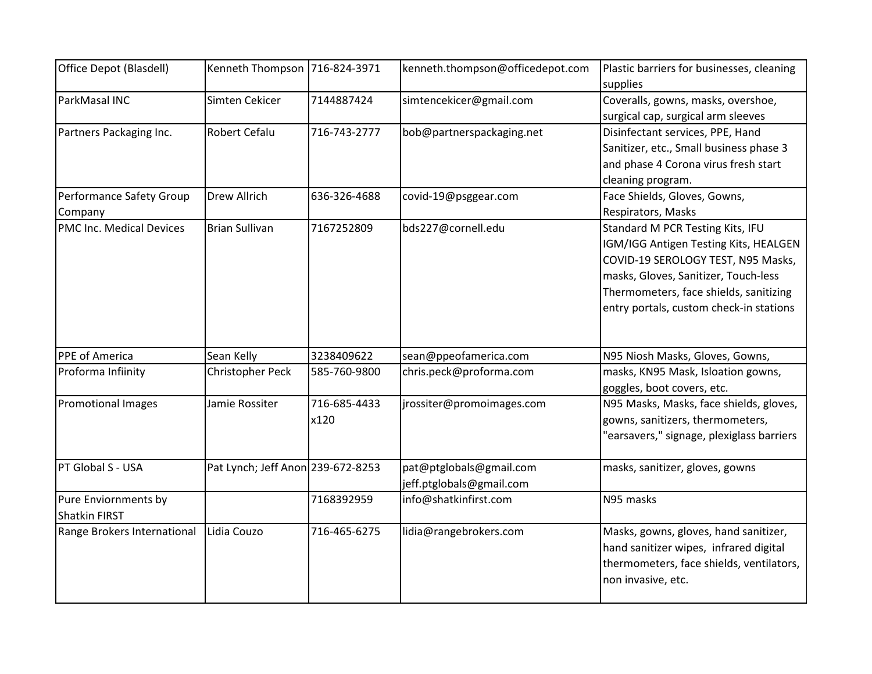| Office Depot (Blasdell)     | Kenneth Thompson 716-824-3971     |              | kenneth.thompson@officedepot.com | Plastic barriers for businesses, cleaning |
|-----------------------------|-----------------------------------|--------------|----------------------------------|-------------------------------------------|
|                             |                                   |              |                                  | supplies                                  |
| ParkMasal INC               | Simten Cekicer                    | 7144887424   | simtencekicer@gmail.com          | Coveralls, gowns, masks, overshoe,        |
|                             |                                   |              |                                  | surgical cap, surgical arm sleeves        |
| Partners Packaging Inc.     | <b>Robert Cefalu</b>              | 716-743-2777 | bob@partnerspackaging.net        | Disinfectant services, PPE, Hand          |
|                             |                                   |              |                                  | Sanitizer, etc., Small business phase 3   |
|                             |                                   |              |                                  | and phase 4 Corona virus fresh start      |
|                             |                                   |              |                                  | cleaning program.                         |
| Performance Safety Group    | <b>Drew Allrich</b>               | 636-326-4688 | covid-19@psggear.com             | Face Shields, Gloves, Gowns,              |
| Company                     |                                   |              |                                  | Respirators, Masks                        |
| PMC Inc. Medical Devices    | <b>Brian Sullivan</b>             | 7167252809   | bds227@cornell.edu               | Standard M PCR Testing Kits, IFU          |
|                             |                                   |              |                                  | IGM/IGG Antigen Testing Kits, HEALGEN     |
|                             |                                   |              |                                  | COVID-19 SEROLOGY TEST, N95 Masks,        |
|                             |                                   |              |                                  | masks, Gloves, Sanitizer, Touch-less      |
|                             |                                   |              |                                  | Thermometers, face shields, sanitizing    |
|                             |                                   |              |                                  | entry portals, custom check-in stations   |
|                             |                                   |              |                                  |                                           |
|                             |                                   |              |                                  |                                           |
| PPE of America              | Sean Kelly                        | 3238409622   | sean@ppeofamerica.com            | N95 Niosh Masks, Gloves, Gowns,           |
| Proforma Infiinity          | Christopher Peck                  | 585-760-9800 | chris.peck@proforma.com          | masks, KN95 Mask, Isloation gowns,        |
|                             |                                   |              |                                  | goggles, boot covers, etc.                |
| <b>Promotional Images</b>   | Jamie Rossiter                    | 716-685-4433 | jrossiter@promoimages.com        | N95 Masks, Masks, face shields, gloves,   |
|                             |                                   | x120         |                                  | gowns, sanitizers, thermometers,          |
|                             |                                   |              |                                  | 'earsavers," signage, plexiglass barriers |
|                             |                                   |              |                                  |                                           |
| PT Global S - USA           | Pat Lynch; Jeff Anon 239-672-8253 |              | pat@ptglobals@gmail.com          | masks, sanitizer, gloves, gowns           |
|                             |                                   |              | jeff.ptglobals@gmail.com         |                                           |
| Pure Enviornments by        |                                   | 7168392959   | info@shatkinfirst.com            | N95 masks                                 |
| <b>Shatkin FIRST</b>        |                                   |              |                                  |                                           |
| Range Brokers International | Lidia Couzo                       | 716-465-6275 | lidia@rangebrokers.com           | Masks, gowns, gloves, hand sanitizer,     |
|                             |                                   |              |                                  | hand sanitizer wipes, infrared digital    |
|                             |                                   |              |                                  | thermometers, face shields, ventilators,  |
|                             |                                   |              |                                  | non invasive, etc.                        |
|                             |                                   |              |                                  |                                           |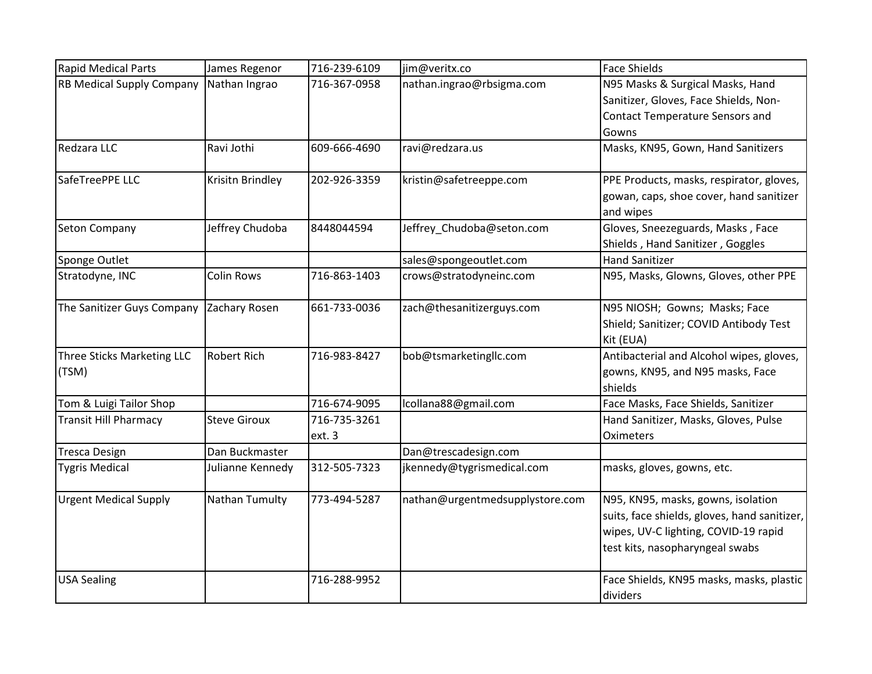| <b>Rapid Medical Parts</b>       | James Regenor       | 716-239-6109 | jim@veritx.co                   | <b>Face Shields</b>                          |
|----------------------------------|---------------------|--------------|---------------------------------|----------------------------------------------|
| <b>RB Medical Supply Company</b> | Nathan Ingrao       | 716-367-0958 | nathan.ingrao@rbsigma.com       | N95 Masks & Surgical Masks, Hand             |
|                                  |                     |              |                                 | Sanitizer, Gloves, Face Shields, Non-        |
|                                  |                     |              |                                 | Contact Temperature Sensors and              |
|                                  |                     |              |                                 | Gowns                                        |
| Redzara LLC                      | Ravi Jothi          | 609-666-4690 | ravi@redzara.us                 | Masks, KN95, Gown, Hand Sanitizers           |
| SafeTreePPE LLC                  | Krisitn Brindley    | 202-926-3359 | kristin@safetreeppe.com         | PPE Products, masks, respirator, gloves,     |
|                                  |                     |              |                                 | gowan, caps, shoe cover, hand sanitizer      |
|                                  |                     |              |                                 | and wipes                                    |
| <b>Seton Company</b>             | Jeffrey Chudoba     | 8448044594   | Jeffrey_Chudoba@seton.com       | Gloves, Sneezeguards, Masks, Face            |
|                                  |                     |              |                                 | Shields, Hand Sanitizer, Goggles             |
| Sponge Outlet                    |                     |              | sales@spongeoutlet.com          | <b>Hand Sanitizer</b>                        |
| Stratodyne, INC                  | <b>Colin Rows</b>   | 716-863-1403 | crows@stratodyneinc.com         | N95, Masks, Glowns, Gloves, other PPE        |
| The Sanitizer Guys Company       | Zachary Rosen       | 661-733-0036 | zach@thesanitizerguys.com       | N95 NIOSH; Gowns; Masks; Face                |
|                                  |                     |              |                                 | Shield; Sanitizer; COVID Antibody Test       |
|                                  |                     |              |                                 | Kit (EUA)                                    |
| Three Sticks Marketing LLC       | <b>Robert Rich</b>  | 716-983-8427 | bob@tsmarketingllc.com          | Antibacterial and Alcohol wipes, gloves,     |
| (TSM)                            |                     |              |                                 | gowns, KN95, and N95 masks, Face             |
|                                  |                     |              |                                 | shields                                      |
| Tom & Luigi Tailor Shop          |                     | 716-674-9095 | lcollana88@gmail.com            | Face Masks, Face Shields, Sanitizer          |
| <b>Transit Hill Pharmacy</b>     | <b>Steve Giroux</b> | 716-735-3261 |                                 | Hand Sanitizer, Masks, Gloves, Pulse         |
|                                  |                     | ext. 3       |                                 | Oximeters                                    |
| <b>Tresca Design</b>             | Dan Buckmaster      |              | Dan@trescadesign.com            |                                              |
| <b>Tygris Medical</b>            | Julianne Kennedy    | 312-505-7323 | jkennedy@tygrismedical.com      | masks, gloves, gowns, etc.                   |
| <b>Urgent Medical Supply</b>     | Nathan Tumulty      | 773-494-5287 | nathan@urgentmedsupplystore.com | N95, KN95, masks, gowns, isolation           |
|                                  |                     |              |                                 | suits, face shields, gloves, hand sanitizer, |
|                                  |                     |              |                                 | wipes, UV-C lighting, COVID-19 rapid         |
|                                  |                     |              |                                 | test kits, nasopharyngeal swabs              |
|                                  |                     |              |                                 |                                              |
| <b>USA Sealing</b>               |                     | 716-288-9952 |                                 | Face Shields, KN95 masks, masks, plastic     |
|                                  |                     |              |                                 | dividers                                     |